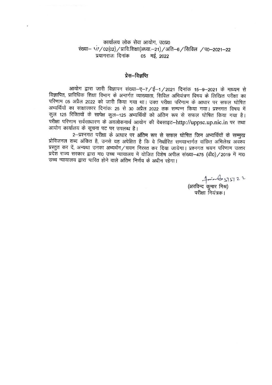कार्यालय लोक सेवा आयोग, उ०प्र० संख्या- <1/ / 02(02) / प्रावि.शिक्षा(अध्या.-21) / अति-6 / सिविल / प0-2021-22 प्रयागराजः दिनांक 05 मई, 2022

# प्रेस—विज्ञप्ति

٠

आयोग द्वारा जारी विज्ञापन संख्या-ए-7/ई-1/2021 दिनांक 15-9-2021 के माध्यम से विज्ञापित, प्राविधिक शिक्षा विभाग के अन्तर्गत व्याख्याता, सिविल अभियंत्रण विषय के लिखित परीक्षा का परिणाम 05 अप्रैल 2022 को जारी किया गया था। उक्त परीक्षा परिणाम के आधार पर सफल घोषित अभ्यर्थियों का साक्षात्कार दिनांकः 25 से 30 अप्रैल 2022 तक सम्पन्न किया गया। प्रश्नगत विषय में कुल 125 रिक्तियों के सापेक्ष कुल–125 अभ्यर्थियों को अंतिम रूप से सफल घोषित किया गया है। परीक्षा परिणाम सर्वसाधारण के अवलोकनार्थ आयोग की वेबसाइट-http://uppsc.up.nic.in पर तथा आयोग कार्यालय के सूचना पट पर उपलब्ध है।

2-प्रश्नगत परीक्षा के आधार पर अंतिम रूप से सफल घोषित जिन अभ्यर्थियों के सम्मुख प्रोविजनल शब्द अंकित है, उनसे यह अपेक्षित है कि वे निर्धारित समयान्तर्गत वांछित अभिलेख अवश्य प्रस्तुत कर दें, अन्यथा उनका अभ्यर्थन/चयन निरस्त कर दिया जायेगा। प्रश्नगत चयन परिणाम उत्तर प्रदेश राज्य सरकार द्वारा मा0 उच्च न्यायालय में योजित विशेष अपील संख्या-475 (डी0)/2019 में मा0 उच्च न्यायालय द्वारा पारित होने वाले अंतिम निर्णय के अधीन रहेगा।

नी के पश्च है। प्राप्त 22 परीक्षा नियंत्रक।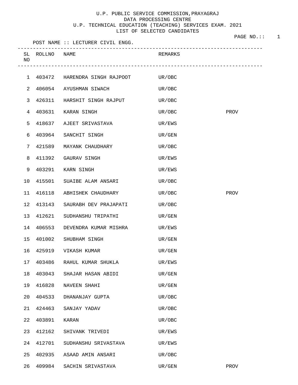# U.P. PUBLIC SERVICE COMMISSION,PRAYAGRAJ DATA PROCESSING CENTRE U.P. TECHNICAL EDUCATION (TEACHING) SERVICES EXAM. 2021 LIST OF SELECTED CANDIDATES

|                 |                | POST NAME :: LECTURER CIVIL ENGG.      |         |      |
|-----------------|----------------|----------------------------------------|---------|------|
| NO              | SL ROLLNO NAME |                                        | REMARKS |      |
|                 |                | 1 403472 HARENDRA SINGH RAJPOOT UR/OBC |         |      |
| $\overline{2}$  | 406054         | AYUSHMAN SIWACH                        | UR/OBC  |      |
| 3               |                | 426311 HARSHIT SINGH RAJPUT            | UR/OBC  |      |
| 4               | 403631         | KARAN SINGH                            | UR/OBC  | PROV |
| 5               | 418637         | AJEET SRIVASTAVA                       | UR/EWS  |      |
| 6               | 403964         | SANCHIT SINGH                          | UR/GEN  |      |
| 7               | 421589         | MAYANK CHAUDHARY                       | UR/OBC  |      |
| 8               | 411392         | GAURAV SINGH                           | UR/EWS  |      |
| 9               | 403291         | KARN SINGH                             | UR/EWS  |      |
| 10 <sub>o</sub> |                | 415501 SUAIBE ALAM ANSARI              | UR/OBC  |      |
| 11              | 416118         | ABHISHEK CHAUDHARY                     | UR/OBC  | PROV |
| 12              | 413143         | SAURABH DEV PRAJAPATI                  | UR/OBC  |      |
| 13              | 412621         | SUDHANSHU TRIPATHI                     | UR/GEN  |      |
| 14              | 406553         | DEVENDRA KUMAR MISHRA                  | UR/EWS  |      |
| 15 <sub>1</sub> | 401002         | SHUBHAM SINGH                          | UR/GEN  |      |
| 16              |                | 425919 VIKASH KUMAR                    | UR/GEN  |      |
| 17              | 403486         | RAHUL KUMAR SHUKLA                     | UR/EWS  |      |
| 18              | 403043         | SHAJAR HASAN ABIDI                     | UR/GEN  |      |
| 19              | 416828         | NAVEEN SHAHI                           | UR/GEN  |      |
| 20              | 404533         | DHANANJAY GUPTA                        | UR/OBC  |      |
| 21              | 424463         | SANJAY YADAV                           | UR/OBC  |      |
| 22              | 403891         | KARAN                                  | UR/OBC  |      |
| 23              | 412162         | SHIVANK TRIVEDI                        | UR/EWS  |      |
| 24              | 412701         | SUDHANSHU SRIVASTAVA                   | UR/EWS  |      |
| 25              | 402935         | ASAAD AMIN ANSARI                      | UR/OBC  |      |
| 26              |                | 409984 SACHIN SRIVASTAVA               | UR/GEN  | PROV |

PAGE NO.:: 1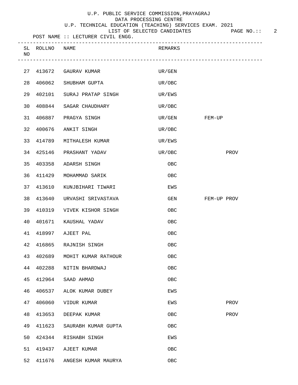#### U.P. TECHNICAL EDUCATION (TEACHING) SERVICES EXAM. 2021

|                                   | OF SELECTED CANDIDATES<br>LIST | PAGE NO. :: |
|-----------------------------------|--------------------------------|-------------|
| POST NAME :: LECTURER CIVIL ENGG. |                                |             |
|                                   |                                |             |

| NO | SL ROLLNO | NAME                       | REMARKS    |             |
|----|-----------|----------------------------|------------|-------------|
|    |           | 27 413672 GAURAV KUMAR     | UR/GEN     |             |
| 28 |           | 406062 SHUBHAM GUPTA       | UR/OBC     |             |
| 29 |           | 402101 SURAJ PRATAP SINGH  | UR/EWS     |             |
| 30 |           | 408844 SAGAR CHAUDHARY     | UR/OBC     |             |
| 31 |           | 406887 PRAGYA SINGH        | UR/GEN     | FEM-UP      |
| 32 | 400676    | ANKIT SINGH                | UR/OBC     |             |
| 33 | 414789    | MITHALESH KUMAR            | UR/EWS     |             |
| 34 | 425146    | PRASHANT YADAV             | UR/OBC     | PROV        |
| 35 | 403358    | ADARSH SINGH               | OBC        |             |
|    | 36 411429 | MOHAMMAD SARIK             | OBC        |             |
| 37 | 413610    | KUNJBIHARI TIWARI          | EWS        |             |
| 38 | 413640    | URVASHI SRIVASTAVA         | GEN        | FEM-UP PROV |
| 39 | 410319    | VIVEK KISHOR SINGH         | OBC        |             |
| 40 | 401671    | KAUSHAL YADAV              | OBC        |             |
| 41 | 418997    | AJEET PAL                  | OBC        |             |
| 42 | 416865    | RAJNISH SINGH              | OBC        |             |
| 43 |           | 402689 MOHIT KUMAR RATHOUR | OBC        |             |
| 44 | 402288    | NITIN BHARDWAJ             | OBC        |             |
| 45 | 412964    | SAAD AHMAD                 | OBC        |             |
| 46 | 406537    | ALOK KUMAR DUBEY           | EWS        |             |
| 47 | 406060    | VIDUR KUMAR                | EWS        | PROV        |
| 48 | 413653    | DEEPAK KUMAR               | OBC        | PROV        |
| 49 | 411623    | SAURABH KUMAR GUPTA        | OBC        |             |
| 50 | 424344    | RISHABH SINGH              | EWS        |             |
| 51 | 419437    | AJEET KUMAR                | OBC        |             |
| 52 | 411676    | ANGESH KUMAR MAURYA        | <b>OBC</b> |             |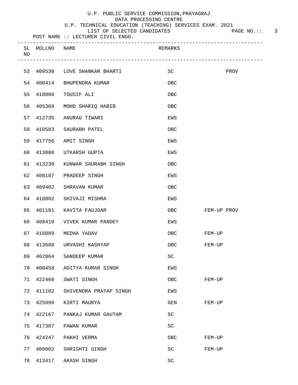### U.P. TECHNICAL EDUCATION (TEACHING) SERVICES EXAM. 2021

|                                   | LIST OF SELECTED CANDIDATES | PAGE NO.: |
|-----------------------------------|-----------------------------|-----------|
| POST NAME :: LECTURER CIVIL ENGG. |                             |           |

| SL<br>NO | ROLLNO NAME |                            | REMARKS |             |
|----------|-------------|----------------------------|---------|-------------|
| 53       |             | 409530 LOVE SHANKAR BHARTI | SC      | PROV        |
| 54       |             | 400414 BHUPENDRA KUMAR     | OBC     |             |
| 55       | 418080      | TOUSIF ALI                 | OBC     |             |
| 56       | 405369      | MOHD SHARIQ HABIB          | OBC     |             |
| 57       | 412735      | ANURAG TIWARI              | EWS     |             |
| 58       | 410583      | SAURABH PATEL              | OBC     |             |
| 59       | 417756      | AMIT SINGH                 | EWS     |             |
| 60       | 413080      | UTKARSH GUPTA              | EWS     |             |
| 61       | 413230      | KUNWAR SAURABH SINGH       | OBC     |             |
| 62       |             | 408187 PRADEEP SINGH       | EWS     |             |
| 63       | 409402      | SHRAVAN KUMAR              | OBC     |             |
| 64       | 418802      | SHIVAJI MISHRA             | EWS     |             |
| 65       | 401191      | KAVITA FAUJDAR             | OBC     | FEM-UP PROV |
| 66       | 408419      | VIVEK KUMAR PANDEY         | EWS     |             |
| 67       | 416089      | MEDHA YADAV                | OBC     | FEM-UP      |
| 68       |             | 413680 URVASHI KASHYAP     | OBC     | FEM-UP      |
| 69       | 402964      | SANDEEP KUMAR              | SC      |             |
| 70       | 400458      | ADITYA KUMAR SINGH         | EWS     |             |
| 71       | 422460      | SWATI SINGH                | OBC     | FEM-UP      |
| 72       | 411182      | SHIVENDRA PRATAP SINGH     | EWS     |             |
| 73       | 425090      | KIRTI MAURYA               | GEN     | FEM-UP      |
| 74       | 422167      | PANKAJ KUMAR GAUTAM        | SC      |             |
| 75       | 417387      | PAWAN KUMAR                | SC      |             |
| 76       | 424247      | PAKHI VERMA                | OBC     | FEM-UP      |
| 77       | 408002      | SHRISHTI SINGH             | SC      | FEM-UP      |
| 78       |             | 413417 AKASH SINGH         | SC      |             |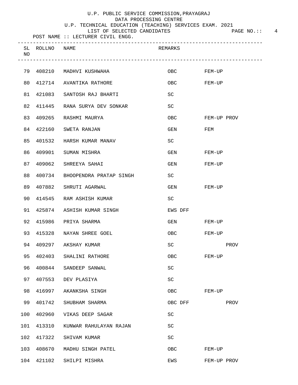#### U.P. TECHNICAL EDUCATION (TEACHING) SERVICES EXAM. 2021

LIST OF SELECTED CANDIDATES FAGE NO.:: 4

| NO  | SL ROLLNO NAME |                         | REMARKS     |             |
|-----|----------------|-------------------------|-------------|-------------|
| 79  |                | 408210 MADHVI KUSHWAHA  | OBC         | FEM-UP      |
| 80  |                | 412714 AVANTIKA RATHORE | OBC         | FEM-UP      |
| 81  | 421083         | SANTOSH RAJ BHARTI      | SC          |             |
| 82  | 411445         | RANA SURYA DEV SONKAR   | SC          |             |
| 83  | 409265         | RASHMI MAURYA           | <b>OBC</b>  | FEM-UP PROV |
| 84  | 422160         | SWETA RANJAN            | GEN         | FEM         |
| 85  | 401532         | HARSH KUMAR MANAV       | SC          |             |
| 86  | 409901         | SUMAN MISHRA            | GEN         | FEM-UP      |
| 87  | 409062         | SHREEYA SAHAI           | GEN         | FEM-UP      |
| 88  | 400734         | BHOOPENDRA PRATAP SINGH | SC          |             |
| 89  | 407882         | SHRUTI AGARWAL          | GEN         | FEM-UP      |
| 90  | 414545         | RAM ASHISH KUMAR        | SC          |             |
| 91  | 425874         | ASHISH KUMAR SINGH      | EWS DFF     |             |
| 92  | 415986         | PRIYA SHARMA            | GEN         | FEM-UP      |
| 93  | 415328         | NAYAN SHREE GOEL        | OBC         | FEM-UP      |
| 94  |                | 409297 AKSHAY KUMAR     | <b>SC</b>   | PROV        |
| 95  |                | 402403 SHALINI RATHORE  | ${\sf OBC}$ | FEM-UP      |
| 96  | 400844         | SANDEEP SANWAL          | SC          |             |
| 97  | 407553         | DEV PLASIYA             | SC          |             |
| 98  | 416997         | AKANKSHA SINGH          | OBC         | FEM-UP      |
| 99  | 401742         | SHUBHAM SHARMA          | OBC DFF     | PROV        |
| 100 | 402960         | VIKAS DEEP SAGAR        | <b>SC</b>   |             |
| 101 | 413310         | KUNWAR RAHULAYAN RAJAN  | <b>SC</b>   |             |
| 102 | 417322         | SHIVAM KUMAR            | <b>SC</b>   |             |
| 103 | 408670         | MADHU SINGH PATEL       | OBC         | FEM-UP      |
| 104 | 421102         | SHILPI MISHRA           | EWS         | FEM-UP PROV |